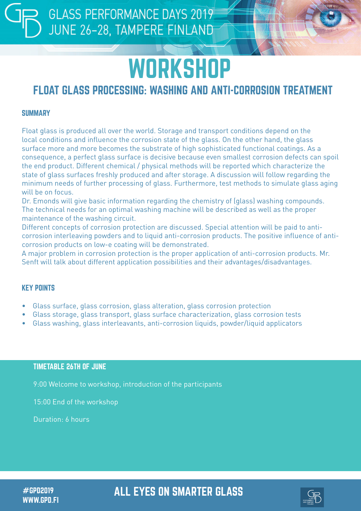# **WORKSHOP**

## FLOAT GLASS PROCESSING: WASHING AND ANTI-CORROSION TREATMENT

#### **SUMMARY**

Float glass is produced all over the world. Storage and transport conditions depend on the local conditions and influence the corrosion state of the glass. On the other hand, the glass surface more and more becomes the substrate of high sophisticated functional coatings. As a consequence, a perfect glass surface is decisive because even smallest corrosion defects can spoil the end product. Different chemical / physical methods will be reported which characterize the state of glass surfaces freshly produced and after storage. A discussion will follow regarding the minimum needs of further processing of glass. Furthermore, test methods to simulate glass aging will be on focus.

Dr. Emonds will give basic information regarding the chemistry of (glass) washing compounds. The technical needs for an optimal washing machine will be described as well as the proper maintenance of the washing circuit.

Different concepts of corrosion protection are discussed. Special attention will be paid to anticorrosion interleaving powders and to liquid anti-corrosion products. The positive influence of anticorrosion products on low-e coating will be demonstrated.

A major problem in corrosion protection is the proper application of anti-corrosion products. Mr. Senft will talk about different application possibilities and their advantages/disadvantages.

#### KEY POINTS

- Glass surface, glass corrosion, glass alteration, glass corrosion protection
- Glass storage, glass transport, glass surface characterization, glass corrosion tests
- Glass washing, glass interleavants, anti-corrosion liquids, powder/liquid applicators

#### TIMETABLE 26TH OF JUNE

9:00 Welcome to workshop, introduction of the participants

15:00 End of the workshop

Duration: 6 hours

WWW.GPD.FI

### #GPD2019 ALL EYES ON SMARTER GLASS